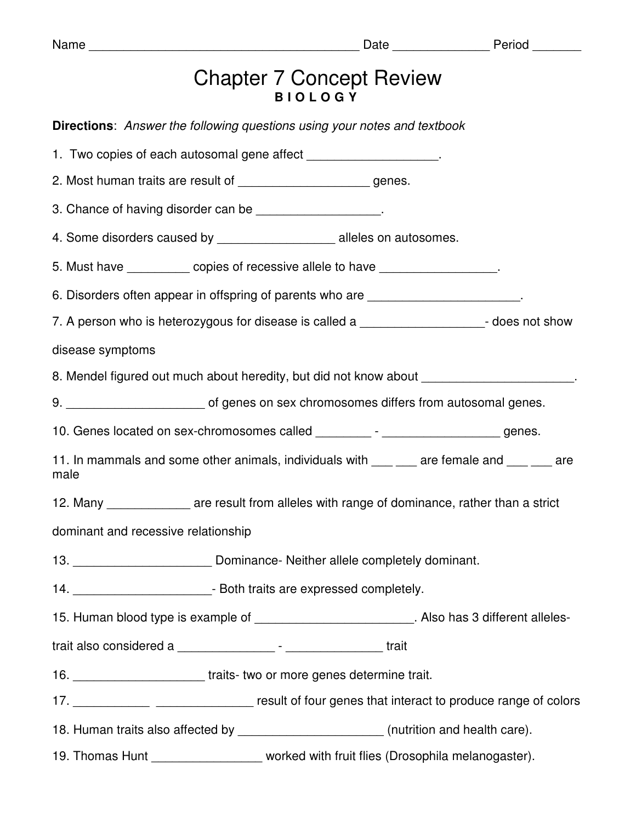| っ<br>Π<br>I<br>u<br>п |  |
|-----------------------|--|
|-----------------------|--|

| <b>Chapter 7 Concept Review</b> |
|---------------------------------|
| <b>BIOLOGY</b>                  |

| <b>Directions:</b> Answer the following questions using your notes and textbook    |                                                                                                     |
|------------------------------------------------------------------------------------|-----------------------------------------------------------------------------------------------------|
| 1. Two copies of each autosomal gene affect ____________________.                  |                                                                                                     |
| 2. Most human traits are result of _______________________genes.                   |                                                                                                     |
| 3. Chance of having disorder can be ___________________.                           |                                                                                                     |
| 4. Some disorders caused by ______________________ alleles on autosomes.           |                                                                                                     |
| 5. Must have ___________ copies of recessive allele to have _________________.     |                                                                                                     |
|                                                                                    | 6. Disorders often appear in offspring of parents who are ______________________.                   |
|                                                                                    | 7. A person who is heterozygous for disease is called a ______________________- does not show       |
| disease symptoms                                                                   |                                                                                                     |
|                                                                                    | 8. Mendel figured out much about heredity, but did not know about _______________                   |
|                                                                                    |                                                                                                     |
|                                                                                    | 10. Genes located on sex-chromosomes called _________- - _____________________genes.                |
| male                                                                               | 11. In mammals and some other animals, individuals with ___ ___ are female and ___ __ are           |
|                                                                                    | 12. Many _______________ are result from alleles with range of dominance, rather than a strict      |
| dominant and recessive relationship                                                |                                                                                                     |
| 13. ________________________________Dominance- Neither allele completely dominant. |                                                                                                     |
| 14. _______________________________- Both traits are expressed completely.         |                                                                                                     |
|                                                                                    | 15. Human blood type is example of ___________________________. Also has 3 different alleles-       |
|                                                                                    |                                                                                                     |
| 16. ___________________________traits-two or more genes determine trait.           |                                                                                                     |
|                                                                                    | 17. _______________ _________________ result of four genes that interact to produce range of colors |
|                                                                                    | 18. Human traits also affected by ________________________(nutrition and health care).              |
|                                                                                    | 19. Thomas Hunt ___________________ worked with fruit flies (Drosophila melanogaster).              |